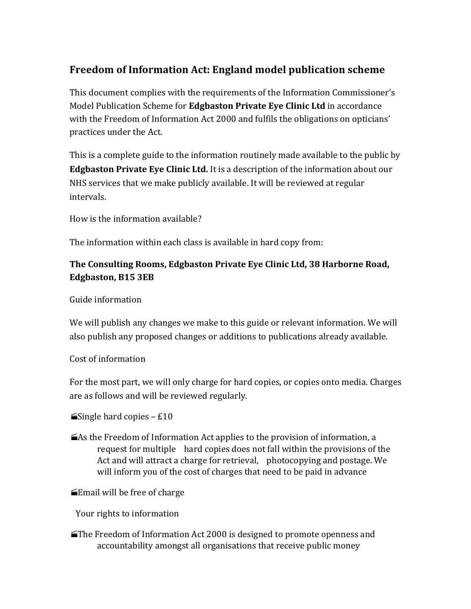# Freedom of Information Act: England model publication scheme

This document complies with the requirements of the Information Commissioner's Model Publication Scheme for **Edgbaston Private Eye Clinic Ltd** in accordance with the Freedom of Information Act 2000 and fulfils the obligations on opticians' practices under the Act.

This is a complete guide to the information routinely made available to the public by **Edgbaston Private Eye Clinic Ltd.** It is a description of the information about our NHS services that we make publicly available. It will be reviewed at regular intervals. 

How is the information available?

The information within each class is available in hard copy from:

## The Consulting Rooms, Edgbaston Private Eye Clinic Ltd, 38 Harborne Road, **Edgbaston, B15 3EB**

### Guide information

We will publish any changes we make to this guide or relevant information. We will also publish any proposed changes or additions to publications already available.

#### Cost of information

For the most part, we will only charge for hard copies, or copies onto media. Charges are as follows and will be reviewed regularly.

**Single hard copies – £10** 

As the Freedom of Information Act applies to the provision of information, a request for multiple hard copies does not fall within the provisions of the Act and will attract a charge for retrieval, photocopying and postage. We will inform you of the cost of charges that need to be paid in advance

 $\equiv$ Email will be free of charge

Your rights to information

 $\blacksquare$  The Freedom of Information Act 2000 is designed to promote openness and accountability amongst all organisations that receive public money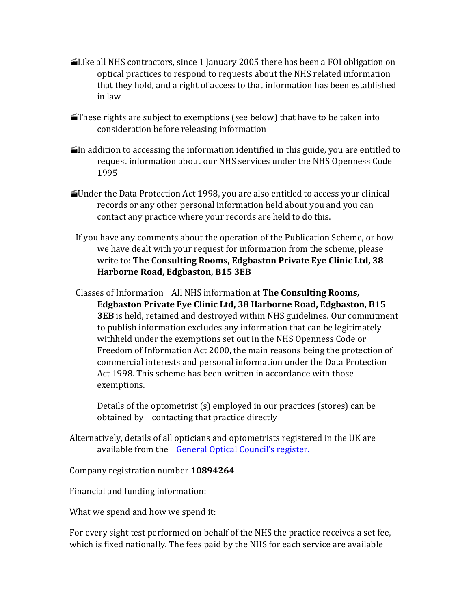- **Like all NHS contractors, since 1 January 2005 there has been a FOI obligation on** optical practices to respond to requests about the NHS related information that they hold, and a right of access to that information has been established in law
- $\blacktriangleright$  These rights are subject to exemptions (see below) that have to be taken into consideration before releasing information
- $\blacksquare$ In addition to accessing the information identified in this guide, you are entitled to request information about our NHS services under the NHS Openness Code 1995
- $\blacktriangle$ Under the Data Protection Act 1998, you are also entitled to access your clinical records or any other personal information held about you and you can contact any practice where your records are held to do this.
- If you have any comments about the operation of the Publication Scheme, or how we have dealt with your request for information from the scheme, please write to: The Consulting Rooms, Edgbaston Private Eye Clinic Ltd, 38 **Harborne Road, Edgbaston, B15 3EB**
- Classes of Information All NHS information at **The Consulting Rooms, Edgbaston Private Eye Clinic Ltd, 38 Harborne Road, Edgbaston, B15 3EB** is held, retained and destroyed within NHS guidelines. Our commitment to publish information excludes any information that can be legitimately withheld under the exemptions set out in the NHS Openness Code or Freedom of Information Act 2000, the main reasons being the protection of commercial interests and personal information under the Data Protection Act 1998. This scheme has been written in accordance with those exemptions.

Details of the optometrist  $(s)$  employed in our practices  $(s)$  can be obtained by contacting that practice directly

Alternatively, details of all opticians and optometrists registered in the UK are available from the General Optical Council's register.

Company registration number **10894264**

Financial and funding information:

What we spend and how we spend it:

For every sight test performed on behalf of the NHS the practice receives a set fee, which is fixed nationally. The fees paid by the NHS for each service are available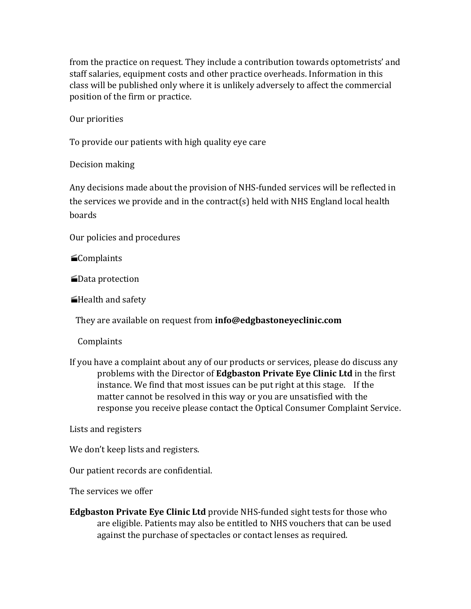from the practice on request. They include a contribution towards optometrists' and staff salaries, equipment costs and other practice overheads. Information in this class will be published only where it is unlikely adversely to affect the commercial position of the firm or practice.

Our priorities

To provide our patients with high quality eye care

Decision making

Any decisions made about the provision of NHS-funded services will be reflected in the services we provide and in the contract(s) held with NHS England local health boards 

Our policies and procedures

**E**Complaints

**■Data protection** 

Health and safety

They are available on request from **info@edgbastoneyeclinic.com** 

Complaints 

If you have a complaint about any of our products or services, please do discuss any problems with the Director of **Edgbaston Private Eye Clinic Ltd** in the first instance. We find that most issues can be put right at this stage. If the matter cannot be resolved in this way or you are unsatisfied with the response you receive please contact the Optical Consumer Complaint Service.

Lists and registers

We don't keep lists and registers.

Our patient records are confidential.

The services we offer

**Edgbaston Private Eye Clinic Ltd** provide NHS-funded sight tests for those who are eligible. Patients may also be entitled to NHS vouchers that can be used against the purchase of spectacles or contact lenses as required.